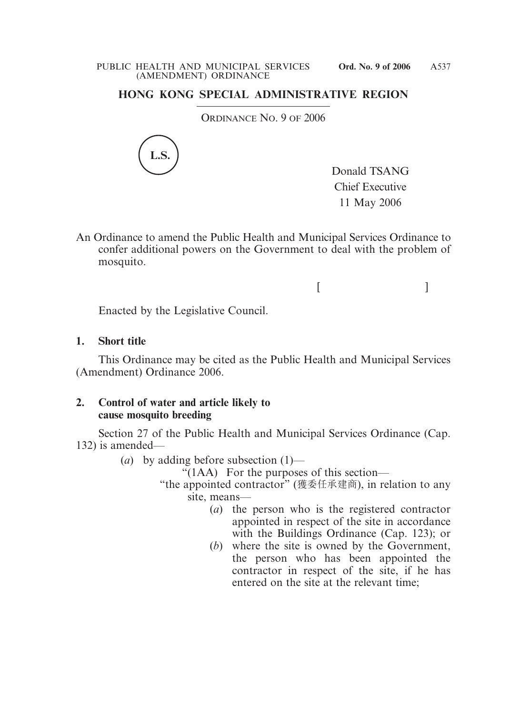## **HONG KONG SPECIAL ADMINISTRATIVE REGION**

ORDINANCE NO. 9 OF 2006



Donald TSANG Chief Executive 11 May 2006

An Ordinance to amend the Public Health and Municipal Services Ordinance to confer additional powers on the Government to deal with the problem of mosquito.

 $[$   $]$ 

Enacted by the Legislative Council.

## **1. Short title**

This Ordinance may be cited as the Public Health and Municipal Services (Amendment) Ordinance 2006.

## **2. Control of water and article likely to cause mosquito breeding**

Section 27 of the Public Health and Municipal Services Ordinance (Cap. 132) is amended—

(*a*) by adding before subsection (1)—

"(1AA) For the purposes of this section—

"the appointed contractor" (獲委任承建商), in relation to any site, means—

- (*a*) the person who is the registered contractor appointed in respect of the site in accordance with the Buildings Ordinance (Cap. 123); or
- (*b*) where the site is owned by the Government, the person who has been appointed the contractor in respect of the site, if he has entered on the site at the relevant time;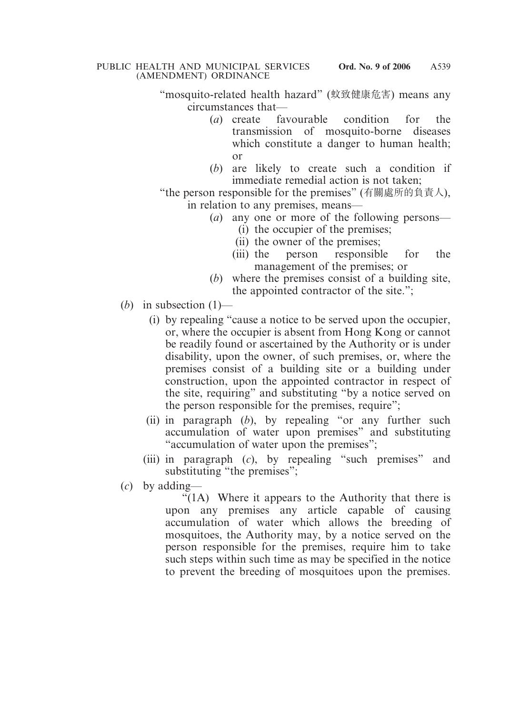- "mosquito-related health hazard" (蚊致健康危害) means any circumstances that—
	- (*a*) create favourable condition for the transmission of mosquito-borne diseases which constitute a danger to human health; or
	- (*b*) are likely to create such a condition if immediate remedial action is not taken;

"the person responsible for the premises" (有關處所的負責人), in relation to any premises, means—

- (*a*) any one or more of the following persons—
	- (i) the occupier of the premises;
	- (ii) the owner of the premises;
	- (iii) the person responsible for the management of the premises; or
- (*b*) where the premises consist of a building site, the appointed contractor of the site.";
- (*b*) in subsection  $(1)$ 
	- (i) by repealing "cause a notice to be served upon the occupier, or, where the occupier is absent from Hong Kong or cannot be readily found or ascertained by the Authority or is under disability, upon the owner, of such premises, or, where the premises consist of a building site or a building under construction, upon the appointed contractor in respect of the site, requiring" and substituting "by a notice served on the person responsible for the premises, require";
	- (ii) in paragraph (*b*), by repealing "or any further such accumulation of water upon premises" and substituting "accumulation of water upon the premises";
	- (iii) in paragraph (*c*), by repealing "such premises" and substituting "the premises";
- (*c*) by adding—

" $(1)$ . Where it appears to the Authority that there is upon any premises any article capable of causing accumulation of water which allows the breeding of mosquitoes, the Authority may, by a notice served on the person responsible for the premises, require him to take such steps within such time as may be specified in the notice to prevent the breeding of mosquitoes upon the premises.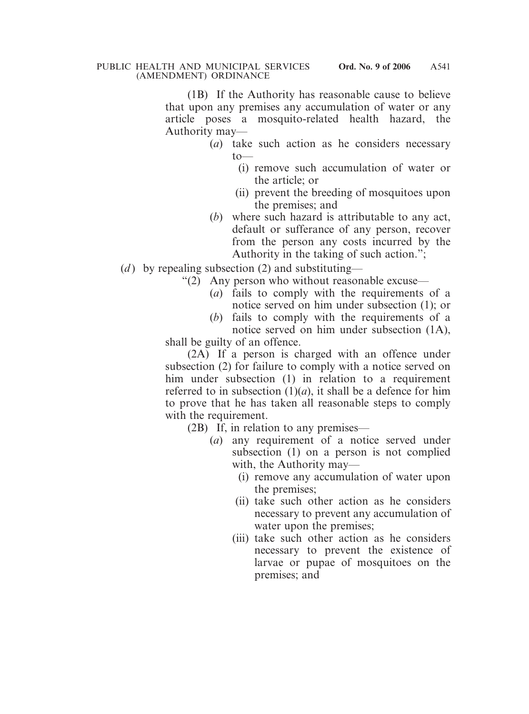(1B) If the Authority has reasonable cause to believe that upon any premises any accumulation of water or any article poses a mosquito-related health hazard, the Authority may—

- (*a*) take such action as he considers necessary  $to$ 
	- (i) remove such accumulation of water or the article; or
	- (ii) prevent the breeding of mosquitoes upon the premises; and
- (*b*) where such hazard is attributable to any act, default or sufferance of any person, recover from the person any costs incurred by the Authority in the taking of such action.";
- (*d*) by repealing subsection (2) and substituting—
	- "(2) Any person who without reasonable excuse—
		- (*a*) fails to comply with the requirements of a notice served on him under subsection (1); or
		- (*b*) fails to comply with the requirements of a notice served on him under subsection (1A),

shall be guilty of an offence.

(2A) If a person is charged with an offence under subsection (2) for failure to comply with a notice served on him under subsection (1) in relation to a requirement referred to in subsection  $(1)(a)$ , it shall be a defence for him to prove that he has taken all reasonable steps to comply with the requirement.

(2B) If, in relation to any premises—

- (*a*) any requirement of a notice served under subsection (1) on a person is not complied with, the Authority may—
	- (i) remove any accumulation of water upon the premises;
	- (ii) take such other action as he considers necessary to prevent any accumulation of water upon the premises;
	- (iii) take such other action as he considers necessary to prevent the existence of larvae or pupae of mosquitoes on the premises; and